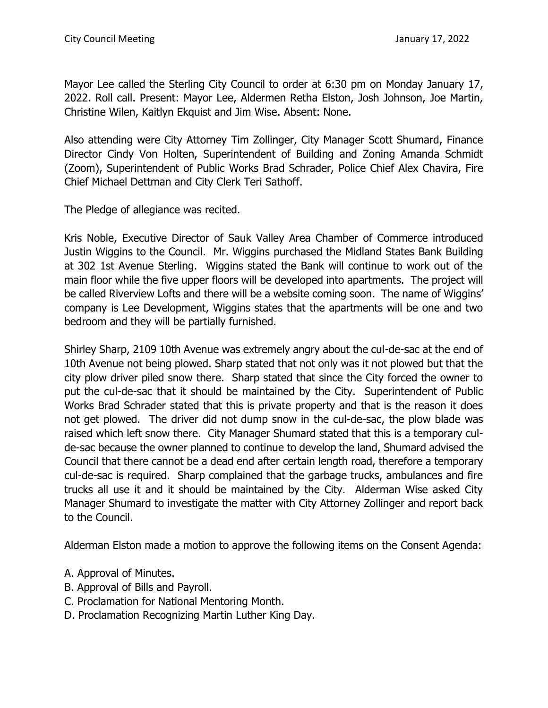Mayor Lee called the Sterling City Council to order at 6:30 pm on Monday January 17, 2022. Roll call. Present: Mayor Lee, Aldermen Retha Elston, Josh Johnson, Joe Martin, Christine Wilen, Kaitlyn Ekquist and Jim Wise. Absent: None.

Also attending were City Attorney Tim Zollinger, City Manager Scott Shumard, Finance Director Cindy Von Holten, Superintendent of Building and Zoning Amanda Schmidt (Zoom), Superintendent of Public Works Brad Schrader, Police Chief Alex Chavira, Fire Chief Michael Dettman and City Clerk Teri Sathoff.

The Pledge of allegiance was recited.

Kris Noble, Executive Director of Sauk Valley Area Chamber of Commerce introduced Justin Wiggins to the Council. Mr. Wiggins purchased the Midland States Bank Building at 302 1st Avenue Sterling. Wiggins stated the Bank will continue to work out of the main floor while the five upper floors will be developed into apartments. The project will be called Riverview Lofts and there will be a website coming soon. The name of Wiggins' company is Lee Development, Wiggins states that the apartments will be one and two bedroom and they will be partially furnished.

Shirley Sharp, 2109 10th Avenue was extremely angry about the cul-de-sac at the end of 10th Avenue not being plowed. Sharp stated that not only was it not plowed but that the city plow driver piled snow there. Sharp stated that since the City forced the owner to put the cul-de-sac that it should be maintained by the City. Superintendent of Public Works Brad Schrader stated that this is private property and that is the reason it does not get plowed. The driver did not dump snow in the cul-de-sac, the plow blade was raised which left snow there. City Manager Shumard stated that this is a temporary culde-sac because the owner planned to continue to develop the land, Shumard advised the Council that there cannot be a dead end after certain length road, therefore a temporary cul-de-sac is required. Sharp complained that the garbage trucks, ambulances and fire trucks all use it and it should be maintained by the City. Alderman Wise asked City Manager Shumard to investigate the matter with City Attorney Zollinger and report back to the Council.

Alderman Elston made a motion to approve the following items on the Consent Agenda:

- A. Approval of Minutes.
- B. Approval of Bills and Payroll.
- C. Proclamation for National Mentoring Month.
- D. Proclamation Recognizing Martin Luther King Day.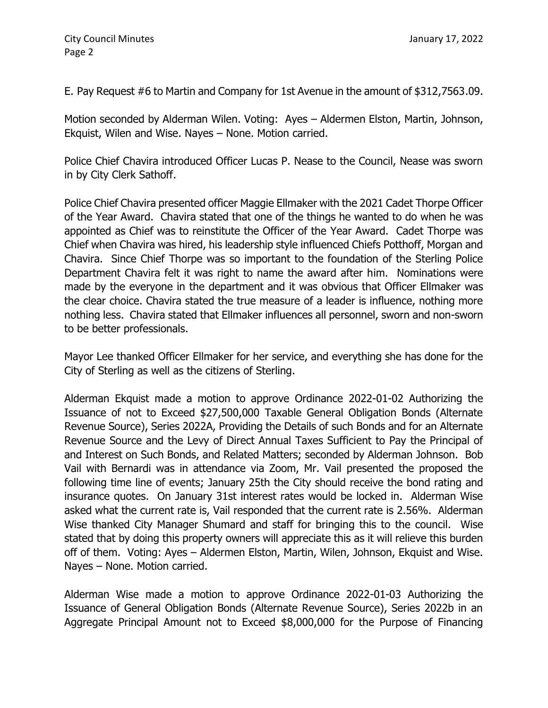E. Pay Request #6 to Martin and Company for 1st Avenue in the amount of \$312,7563.09.

Motion seconded by Alderman Wilen. Voting: Ayes – Aldermen Elston, Martin, Johnson, Ekquist, Wilen and Wise. Nayes – None. Motion carried.

Police Chief Chavira introduced Officer Lucas P. Nease to the Council, Nease was sworn in by City Clerk Sathoff.

Police Chief Chavira presented officer Maggie Ellmaker with the 2021 Cadet Thorpe Officer of the Year Award. Chavira stated that one of the things he wanted to do when he was appointed as Chief was to reinstitute the Officer of the Year Award. Cadet Thorpe was Chief when Chavira was hired, his leadership style influenced Chiefs Potthoff, Morgan and Chavira. Since Chief Thorpe was so important to the foundation of the Sterling Police Department Chavira felt it was right to name the award after him. Nominations were made by the everyone in the department and it was obvious that Officer Ellmaker was the clear choice. Chavira stated the true measure of a leader is influence, nothing more nothing less. Chavira stated that Ellmaker influences all personnel, sworn and non-sworn to be better professionals.

Mayor Lee thanked Officer Ellmaker for her service, and everything she has done for the City of Sterling as well as the citizens of Sterling.

Alderman Ekquist made a motion to approve Ordinance 2022-01-02 Authorizing the Issuance of not to Exceed \$27,500,000 Taxable General Obligation Bonds (Alternate Revenue Source), Series 2022A, Providing the Details of such Bonds and for an Alternate Revenue Source and the Levy of Direct Annual Taxes Sufficient to Pay the Principal of and Interest on Such Bonds, and Related Matters; seconded by Alderman Johnson. Bob Vail with Bernardi was in attendance via Zoom, Mr. Vail presented the proposed the following time line of events; January 25th the City should receive the bond rating and insurance quotes. On January 31st interest rates would be locked in. Alderman Wise asked what the current rate is, Vail responded that the current rate is 2.56%. Alderman Wise thanked City Manager Shumard and staff for bringing this to the council. Wise stated that by doing this property owners will appreciate this as it will relieve this burden off of them. Voting: Ayes – Aldermen Elston, Martin, Wilen, Johnson, Ekquist and Wise. Nayes – None. Motion carried.

Alderman Wise made a motion to approve Ordinance 2022-01-03 Authorizing the Issuance of General Obligation Bonds (Alternate Revenue Source), Series 2022b in an Aggregate Principal Amount not to Exceed \$8,000,000 for the Purpose of Financing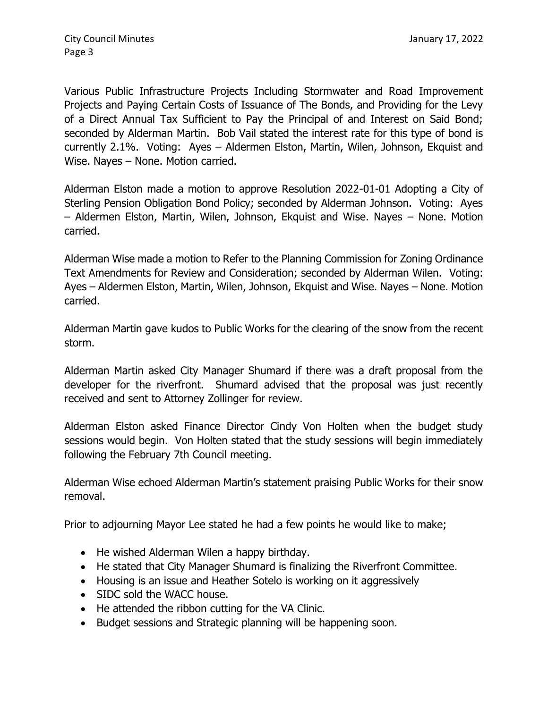Various Public Infrastructure Projects Including Stormwater and Road Improvement Projects and Paying Certain Costs of Issuance of The Bonds, and Providing for the Levy of a Direct Annual Tax Sufficient to Pay the Principal of and Interest on Said Bond; seconded by Alderman Martin. Bob Vail stated the interest rate for this type of bond is currently 2.1%. Voting: Ayes – Aldermen Elston, Martin, Wilen, Johnson, Ekquist and Wise. Nayes – None. Motion carried.

Alderman Elston made a motion to approve Resolution 2022-01-01 Adopting a City of Sterling Pension Obligation Bond Policy; seconded by Alderman Johnson. Voting: Ayes – Aldermen Elston, Martin, Wilen, Johnson, Ekquist and Wise. Nayes – None. Motion carried.

Alderman Wise made a motion to Refer to the Planning Commission for Zoning Ordinance Text Amendments for Review and Consideration; seconded by Alderman Wilen. Voting: Ayes – Aldermen Elston, Martin, Wilen, Johnson, Ekquist and Wise. Nayes – None. Motion carried.

Alderman Martin gave kudos to Public Works for the clearing of the snow from the recent storm.

Alderman Martin asked City Manager Shumard if there was a draft proposal from the developer for the riverfront. Shumard advised that the proposal was just recently received and sent to Attorney Zollinger for review.

Alderman Elston asked Finance Director Cindy Von Holten when the budget study sessions would begin. Von Holten stated that the study sessions will begin immediately following the February 7th Council meeting.

Alderman Wise echoed Alderman Martin's statement praising Public Works for their snow removal.

Prior to adjourning Mayor Lee stated he had a few points he would like to make;

- He wished Alderman Wilen a happy birthday.
- He stated that City Manager Shumard is finalizing the Riverfront Committee.
- Housing is an issue and Heather Sotelo is working on it aggressively
- SIDC sold the WACC house.
- He attended the ribbon cutting for the VA Clinic.
- Budget sessions and Strategic planning will be happening soon.